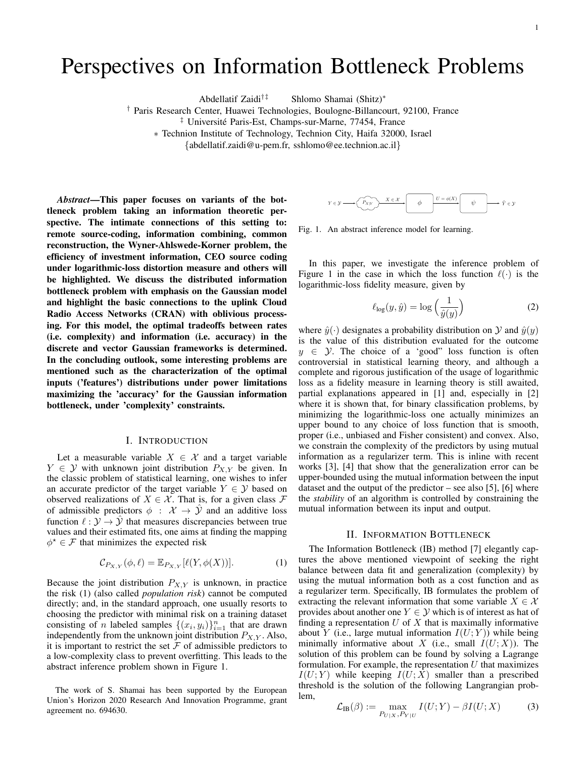# Perspectives on Information Bottleneck Problems

Abdellatif Zaidi†‡ Shlomo Shamai (Shitz)∗

† Paris Research Center, Huawei Technologies, Boulogne-Billancourt, 92100, France

<sup>‡</sup> Université Paris-Est, Champs-sur-Marne, 77454, France

∗ Technion Institute of Technology, Technion City, Haifa 32000, Israel

{abdellatif.zaidi@u-pem.fr, sshlomo@ee.technion.ac.il}

*Abstract*—This paper focuses on variants of the bottleneck problem taking an information theoretic perspective. The intimate connections of this setting to: remote source-coding, information combining, common reconstruction, the Wyner-Ahlswede-Korner problem, the efficiency of investment information, CEO source coding under logarithmic-loss distortion measure and others will be highlighted. We discuss the distributed information bottleneck problem with emphasis on the Gaussian model and highlight the basic connections to the uplink Cloud Radio Access Networks (CRAN) with oblivious processing. For this model, the optimal tradeoffs between rates (i.e. complexity) and information (i.e. accuracy) in the discrete and vector Gaussian frameworks is determined. In the concluding outlook, some interesting problems are mentioned such as the characterization of the optimal inputs ('features') distributions under power limitations maximizing the 'accuracy' for the Gaussian information bottleneck, under 'complexity' constraints.

## I. INTRODUCTION

Let a measurable variable  $X \in \mathcal{X}$  and a target variable  $Y \in \mathcal{Y}$  with unknown joint distribution  $P_{X,Y}$  be given. In the classic problem of statistical learning, one wishes to infer an accurate predictor of the target variable  $Y \in \mathcal{Y}$  based on observed realizations of  $X \in \mathcal{X}$ . That is, for a given class  $\mathcal{F}$ of admissible predictors  $\phi : \mathcal{X} \to \hat{\mathcal{Y}}$  and an additive loss function  $\ell : \mathcal{Y} \to \hat{\mathcal{Y}}$  that measures discrepancies between true values and their estimated fits, one aims at finding the mapping  $\phi^* \in \mathcal{F}$  that minimizes the expected risk

$$
\mathcal{C}_{P_{X,Y}}(\phi,\ell) = \mathbb{E}_{P_{X,Y}}[\ell(Y,\phi(X))].\tag{1}
$$

Because the joint distribution  $P_{X,Y}$  is unknown, in practice the risk (1) (also called *population risk*) cannot be computed directly; and, in the standard approach, one usually resorts to choosing the predictor with minimal risk on a training dataset consisting of *n* labeled samples  $\{(x_i, y_i)\}_{i=1}^n$  that are drawn independently from the unknown joint distribution  $P_{X,Y}$ . Also, it is important to restrict the set  $\mathcal F$  of admissible predictors to a low-complexity class to prevent overfitting. This leads to the abstract inference problem shown in Figure 1.

The work of S. Shamai has been supported by the European Union's Horizon 2020 Research And Innovation Programme, grant agreement no. 694630.



Fig. 1. An abstract inference model for learning.

In this paper, we investigate the inference problem of Figure 1 in the case in which the loss function  $\ell(\cdot)$  is the logarithmic-loss fidelity measure, given by

$$
\ell_{\log}(y,\hat{y}) = \log\left(\frac{1}{\hat{y}(y)}\right) \tag{2}
$$

where  $\hat{y}(\cdot)$  designates a probability distribution on Y and  $\hat{y}(y)$ is the value of this distribution evaluated for the outcome  $y \in Y$ . The choice of a 'good" loss function is often controversial in statistical learning theory, and although a complete and rigorous justification of the usage of logarithmic loss as a fidelity measure in learning theory is still awaited, partial explanations appeared in [1] and, especially in [2] where it is shown that, for binary classification problems, by minimizing the logarithmic-loss one actually minimizes an upper bound to any choice of loss function that is smooth, proper (i.e., unbiased and Fisher consistent) and convex. Also, we constrain the complexity of the predictors by using mutual information as a regularizer term. This is inline with recent works [3], [4] that show that the generalization error can be upper-bounded using the mutual information between the input dataset and the output of the predictor – see also [5], [6] where the *stability* of an algorithm is controlled by constraining the mutual information between its input and output.

### II. INFORMATION BOTTLENECK

The Information Bottleneck (IB) method [7] elegantly captures the above mentioned viewpoint of seeking the right balance between data fit and generalization (complexity) by using the mutual information both as a cost function and as a regularizer term. Specifically, IB formulates the problem of extracting the relevant information that some variable  $X \in \mathcal{X}$ provides about another one  $Y \in \mathcal{Y}$  which is of interest as hat of finding a representation  $U$  of  $X$  that is maximally informative about Y (i.e., large mutual information  $I(U;Y)$ ) while being minimally informative about X (i.e., small  $I(U;X)$ ). The solution of this problem can be found by solving a Lagrange formulation. For example, the representation  $U$  that maximizes  $I(U;Y)$  while keeping  $I(U;X)$  smaller than a prescribed threshold is the solution of the following Langrangian problem,

$$
\mathcal{L}_{IB}(\beta) := \max_{P_{U|X}, P_{Y|U}} I(U;Y) - \beta I(U;X)
$$
 (3)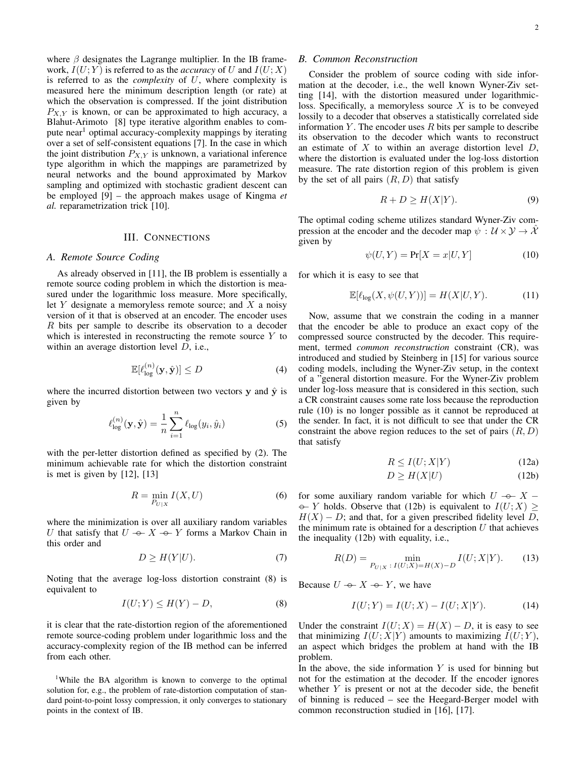where  $\beta$  designates the Lagrange multiplier. In the IB framework,  $I(U;Y)$  is referred to as the *accuracy* of U and  $I(U;X)$ is referred to as the *complexity* of U, where complexity is measured here the minimum description length (or rate) at which the observation is compressed. If the joint distribution  $P_{X,Y}$  is known, or can be approximated to high accuracy, a Blahut-Arimoto [8] type iterative algorithm enables to compute near<sup>1</sup> optimal accuracy-complexity mappings by iterating over a set of self-consistent equations [7]. In the case in which the joint distribution  $P_{X,Y}$  is unknown, a variational inference type algorithm in which the mappings are parametrized by neural networks and the bound approximated by Markov sampling and optimized with stochastic gradient descent can be employed [9] – the approach makes usage of Kingma *et al.* reparametrization trick [10].

# III. CONNECTIONS

## *A. Remote Source Coding*

As already observed in [11], the IB problem is essentially a remote source coding problem in which the distortion is measured under the logarithmic loss measure. More specifically, let  $Y$  designate a memoryless remote source; and  $X$  a noisy version of it that is observed at an encoder. The encoder uses R bits per sample to describe its observation to a decoder which is interested in reconstructing the remote source  $Y$  to within an average distortion level  $D$ , i.e.,

$$
\mathbb{E}[\ell_{\log}^{(n)}(\mathbf{y}, \hat{\mathbf{y}})] \le D \tag{4}
$$

where the incurred distortion between two vectors  $y$  and  $\hat{y}$  is given by

$$
\ell_{\log}^{(n)}(\mathbf{y}, \hat{\mathbf{y}}) = \frac{1}{n} \sum_{i=1}^{n} \ell_{\log}(y_i, \hat{y}_i)
$$
(5)

with the per-letter distortion defined as specified by (2). The minimum achievable rate for which the distortion constraint is met is given by [12], [13]

$$
R = \min_{P_{U|X}} I(X, U) \tag{6}
$$

where the minimization is over all auxiliary random variables *U* that satisfy that  $U \rightarrow X \rightarrow Y$  forms a Markov Chain in this order and this order and

$$
D \ge H(Y|U). \tag{7}
$$

Noting that the average log-loss distortion constraint (8) is equivalent to

$$
I(U;Y) \le H(Y) - D,\tag{8}
$$

it is clear that the rate-distortion region of the aforementioned remote source-coding problem under logarithmic loss and the accuracy-complexity region of the IB method can be inferred from each other.

<sup>1</sup>While the BA algorithm is known to converge to the optimal solution for, e.g., the problem of rate-distortion computation of standard point-to-point lossy compression, it only converges to stationary points in the context of IB.

## *B. Common Reconstruction*

Consider the problem of source coding with side information at the decoder, i.e., the well known Wyner-Ziv setting [14], with the distortion measured under logarithmicloss. Specifically, a memoryless source  $X$  is to be conveyed lossily to a decoder that observes a statistically correlated side information  $Y$ . The encoder uses  $R$  bits per sample to describe its observation to the decoder which wants to reconstruct an estimate of  $X$  to within an average distortion level  $D$ , where the distortion is evaluated under the log-loss distortion measure. The rate distortion region of this problem is given by the set of all pairs  $(R, D)$  that satisfy

$$
R + D \ge H(X|Y). \tag{9}
$$

The optimal coding scheme utilizes standard Wyner-Ziv compression at the encoder and the decoder map  $\psi : \mathcal{U} \times \mathcal{Y} \to \hat{\mathcal{X}}$ given by

$$
\psi(U, Y) = \Pr[X = x | U, Y] \tag{10}
$$

for which it is easy to see that

$$
\mathbb{E}[\ell_{\log}(X,\psi(U,Y))] = H(X|U,Y). \tag{11}
$$

Now, assume that we constrain the coding in a manner that the encoder be able to produce an exact copy of the compressed source constructed by the decoder. This requirement, termed *common reconstruction* constraint (CR), was introduced and studied by Steinberg in [15] for various source coding models, including the Wyner-Ziv setup, in the context of a "general distortion measure. For the Wyner-Ziv problem under log-loss measure that is considered in this section, such a CR constraint causes some rate loss because the reproduction rule (10) is no longer possible as it cannot be reproduced at the sender. In fact, it is not difficult to see that under the CR constraint the above region reduces to the set of pairs  $(R, D)$ that satisfy

$$
R \le I(U;X|Y) \tag{12a}
$$

$$
D \ge H(X|U) \tag{12b}
$$

for some auxiliary random variable for which  $U \rightarrow X - \rightarrow Y$  holds. Observe that (12b) is equivalent to  $I(U \cdot X)$  $H(X) - D$ ; and that, for a given prescribed fidelity level D,  $\rightarrow$  Y holds. Observe that (12b) is equivalent to  $I(U; X)$ the minimum rate is obtained for a description  $U$  that achieves the inequality (12b) with equality, i.e.,

$$
R(D) = \min_{P_{U|X} \,:\, I(U;X) = H(X) - D} I(U;X|Y). \tag{13}
$$

Because  $U \rightarrow X \rightarrow Y$ , we have

$$
I(U;Y) = I(U;X) - I(U;X|Y).
$$
 (14)

Under the constraint  $I(U; X) = H(X) - D$ , it is easy to see that minimizing  $I(U;X|Y)$  amounts to maximizing  $I(U;Y)$ , an aspect which bridges the problem at hand with the IB problem.

In the above, the side information  $Y$  is used for binning but not for the estimation at the decoder. If the encoder ignores whether  $Y$  is present or not at the decoder side, the benefit of binning is reduced – see the Heegard-Berger model with common reconstruction studied in [16], [17].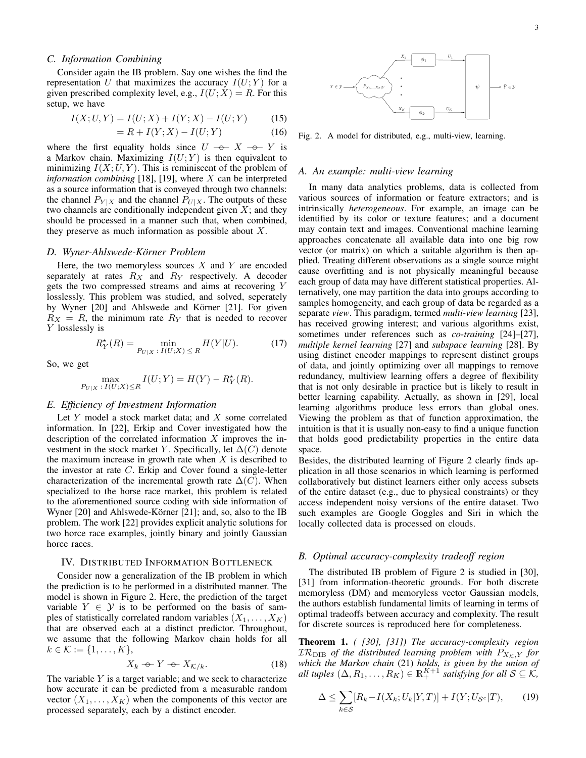# *C. Information Combining*

Consider again the IB problem. Say one wishes the find the representation U that maximizes the accuracy  $I(U;Y)$  for a given prescribed complexity level, e.g.,  $I(U; X) = R$ . For this setup, we have

$$
I(X; U, Y) = I(U; X) + I(Y; X) - I(U; Y)
$$
 (15)

$$
= R + I(Y; X) - I(U; Y) \tag{16}
$$

where the first equality holds since  $U \rightarrow X \rightarrow Y$  is<br>a Markov chain Maximizing  $I(U \cdot Y)$  is then equivalent to a Markov chain. Maximizing  $I(U;Y)$  is then equivalent to minimizing  $I(X; U, Y)$ . This is reminiscent of the problem of *information combining* [18], [19], where X can be interpreted as a source information that is conveyed through two channels: the channel  $P_{Y|X}$  and the channel  $P_{U|X}$ . The outputs of these two channels are conditionally independent given  $X$ ; and they should be processed in a manner such that, when combined, they preserve as much information as possible about  $X$ .

# *D. Wyner-Ahlswede-Korner Problem ¨*

Here, the two memoryless sources  $X$  and  $Y$  are encoded separately at rates  $R_X$  and  $R_Y$  respectively. A decoder gets the two compressed streams and aims at recovering Y losslessly. This problem was studied, and solved, seperately by Wyner [20] and Ahlswede and Körner [21]. For given  $R_X = R$ , the minimum rate  $R_Y$  that is needed to recover Y losslessly is

$$
R_Y^*(R) = \min_{P_{U|X} \; : \; I(U;X) \; \leq \; R} H(Y|U). \tag{17}
$$

So, we get

$$
\max_{P_{U|X}} \max_{I(U;X) \le R} I(U;Y) = H(Y) - R_Y^*(R).
$$

# *E. Efficiency of Investment Information*

Let  $Y$  model a stock market data; and  $X$  some correlated information. In [22], Erkip and Cover investigated how the description of the correlated information  $X$  improves the investment in the stock market Y. Specifically, let  $\Delta(C)$  denote the maximum increase in growth rate when  $X$  is described to the investor at rate C. Erkip and Cover found a single-letter characterization of the incremental growth rate  $\Delta(C)$ . When specialized to the horse race market, this problem is related to the aforementioned source coding with side information of Wyner  $[20]$  and Ahlswede-Körner  $[21]$ ; and, so, also to the IB problem. The work [22] provides explicit analytic solutions for two horce race examples, jointly binary and jointly Gaussian horce races.

## IV. DISTRIBUTED INFORMATION BOTTLENECK

Consider now a generalization of the IB problem in which the prediction is to be performed in a distributed manner. The model is shown in Figure 2. Here, the prediction of the target variable  $Y \in \mathcal{Y}$  is to be performed on the basis of samples of statistically correlated random variables  $(X_1, \ldots, X_K)$ that are observed each at a distinct predictor. Throughout, we assume that the following Markov chain holds for all  $k \in \mathcal{K} := \{1, \ldots, K\},\$ 

$$
X_k \oplus Y \oplus X_{\mathcal{K}/k}.\tag{18}
$$

The variable  $Y$  is a target variable; and we seek to characterize how accurate it can be predicted from a measurable random vector  $(X_1, \ldots, X_K)$  when the components of this vector are processed separately, each by a distinct encoder.



Fig. 2. A model for distributed, e.g., multi-view, learning.

#### *A. An example: multi-view learning*

In many data analytics problems, data is collected from various sources of information or feature extractors; and is intrinsically *heterogeneous*. For example, an image can be identified by its color or texture features; and a document may contain text and images. Conventional machine learning approaches concatenate all available data into one big row vector (or matrix) on which a suitable algorithm is then applied. Treating different observations as a single source might cause overfitting and is not physically meaningful because each group of data may have different statistical properties. Alternatively, one may partition the data into groups according to samples homogeneity, and each group of data be regarded as a separate *view*. This paradigm, termed *multi-view learning* [23], has received growing interest; and various algorithms exist, sometimes under references such as *co-training* [24]–[27], *multiple kernel learning* [27] and *subspace learning* [28]. By using distinct encoder mappings to represent distinct groups of data, and jointly optimizing over all mappings to remove redundancy, multiview learning offers a degree of flexibility that is not only desirable in practice but is likely to result in better learning capability. Actually, as shown in [29], local learning algorithms produce less errors than global ones. Viewing the problem as that of function approximation, the intuition is that it is usually non-easy to find a unique function that holds good predictability properties in the entire data space.

Besides, the distributed learning of Figure 2 clearly finds application in all those scenarios in which learning is performed collaboratively but distinct learners either only access subsets of the entire dataset (e.g., due to physical constraints) or they access independent noisy versions of the entire dataset. Two such examples are Google Goggles and Siri in which the locally collected data is processed on clouds.

# *B. Optimal accuracy-complexity tradeoff region*

The distributed IB problem of Figure 2 is studied in [30], [31] from information-theoretic grounds. For both discrete memoryless (DM) and memoryless vector Gaussian models, the authors establish fundamental limits of learning in terms of optimal tradeoffs between accuracy and complexity. The result for discrete sources is reproduced here for completeness.

Theorem 1. *( [30], [31]) The accuracy-complexity region*  $TR<sub>DIB</sub>$  *of the distributed learning problem with*  $P_{X_K,Y}$  *for which the Markov chain* (21) *holds, is given by the union of all tuples*  $(\Delta, R_1, \ldots, R_K) \in \mathbb{R}_+^{K+1}$  *satisfying for all*  $S \subseteq K$ ,

$$
\Delta \le \sum_{k \in \mathcal{S}} [R_k - I(X_k; U_k | Y, T)] + I(Y; U_{\mathcal{S}^c} | T), \qquad (19)
$$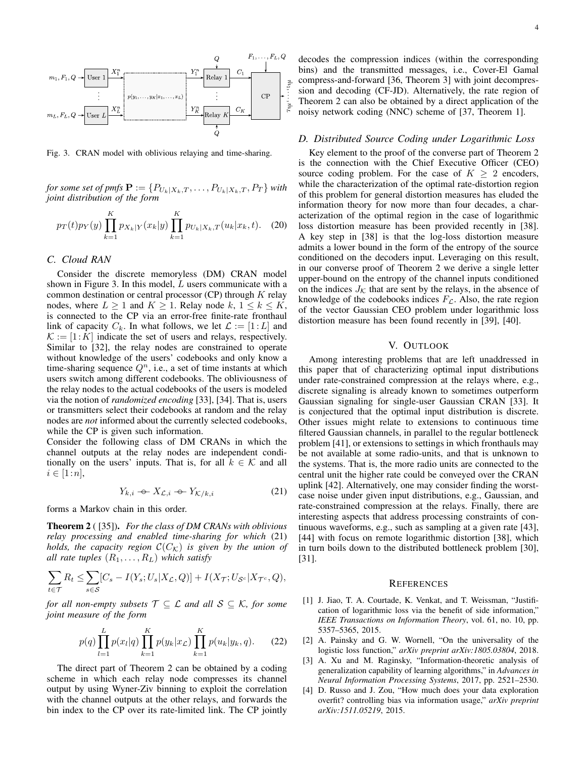

Fig. 3. CRAN model with oblivious relaying and time-sharing.

*for some set of pmfs*  $\mathbf{P} := \{P_{U_k|X_k,T}, \ldots, P_{U_k|X_k,T}, P_T\}$  *with joint distribution of the form*

$$
p_T(t)p_Y(y)\prod_{k=1}^K p_{X_k|Y}(x_k|y)\prod_{k=1}^K p_{U_k|X_k,T}(u_k|x_k,t). \quad (20)
$$

## *C. Cloud RAN*

Consider the discrete memoryless (DM) CRAN model shown in Figure 3. In this model,  $L$  users communicate with a common destination or central processor  $(CP)$  through  $K$  relay nodes, where  $L \geq 1$  and  $K \geq 1$ . Relay node  $k, 1 \leq k \leq K$ , is connected to the CP via an error-free finite-rate fronthaul link of capacity  $C_k$ . In what follows, we let  $\mathcal{L} := [1 : L]$  and  $K := [1:K]$  indicate the set of users and relays, respectively. Similar to [32], the relay nodes are constrained to operate without knowledge of the users' codebooks and only know a time-sharing sequence  $Q<sup>n</sup>$ , i.e., a set of time instants at which users switch among different codebooks. The obliviousness of the relay nodes to the actual codebooks of the users is modeled via the notion of *randomized encoding* [33], [34]. That is, users or transmitters select their codebooks at random and the relay nodes are *not* informed about the currently selected codebooks, while the CP is given such information.

Consider the following class of DM CRANs in which the channel outputs at the relay nodes are independent conditionally on the users' inputs. That is, for all  $k \in \mathcal{K}$  and all  $i \in [1:n],$ 

$$
Y_{k,i} \nightharpoonup X_{\mathcal{L},i} \nightharpoonup Y_{\mathcal{K}/k,i} \tag{21}
$$

forms a Markov chain in this order.

Theorem 2 ( [35]). *For the class of DM CRANs with oblivious relay processing and enabled time-sharing for which* (21) *holds, the capacity region*  $\mathcal{C}(C_{\mathcal{K}})$  *is given by the union of all rate tuples*  $(R_1, \ldots, R_L)$  *which satisfy* 

$$
\sum_{t \in \mathcal{T}} R_t \leq \sum_{s \in \mathcal{S}} [C_s - I(Y_s; U_s | X_{\mathcal{L}}, Q)] + I(X_{\mathcal{T}}; U_{\mathcal{S}^c} | X_{\mathcal{T}^c}, Q),
$$

*for all non-empty subsets*  $\mathcal{T} \subseteq \mathcal{L}$  *and all*  $\mathcal{S} \subseteq \mathcal{K}$ *, for some joint measure of the form*

$$
p(q)\prod_{l=1}^{L}p(x_{l}|q)\prod_{k=1}^{K}p(y_{k}|x_{L})\prod_{k=1}^{K}p(u_{k}|y_{k},q).
$$
 (22)

The direct part of Theorem 2 can be obtained by a coding scheme in which each relay node compresses its channel output by using Wyner-Ziv binning to exploit the correlation with the channel outputs at the other relays, and forwards the bin index to the CP over its rate-limited link. The CP jointly

decodes the compression indices (within the corresponding bins) and the transmitted messages, i.e., Cover-El Gamal compress-and-forward [36, Theorem 3] with joint decompression and decoding (CF-JD). Alternatively, the rate region of Theorem 2 can also be obtained by a direct application of the noisy network coding (NNC) scheme of [37, Theorem 1].

## *D. Distributed Source Coding under Logarithmic Loss*

Key element to the proof of the converse part of Theorem 2 is the connection with the Chief Executive Officer (CEO) source coding problem. For the case of  $K \geq 2$  encoders, while the characterization of the optimal rate-distortion region of this problem for general distortion measures has eluded the information theory for now more than four decades, a characterization of the optimal region in the case of logarithmic loss distortion measure has been provided recently in [38]. A key step in [38] is that the log-loss distortion measure admits a lower bound in the form of the entropy of the source conditioned on the decoders input. Leveraging on this result, in our converse proof of Theorem 2 we derive a single letter upper-bound on the entropy of the channel inputs conditioned on the indices  $J_{\mathcal{K}}$  that are sent by the relays, in the absence of knowledge of the codebooks indices  $F_{\mathcal{L}}$ . Also, the rate region of the vector Gaussian CEO problem under logarithmic loss distortion measure has been found recently in [39], [40].

## V. OUTLOOK

Among interesting problems that are left unaddressed in this paper that of characterizing optimal input distributions under rate-constrained compression at the relays where, e.g., discrete signaling is already known to sometimes outperform Gaussian signaling for single-user Gaussian CRAN [33]. It is conjectured that the optimal input distribution is discrete. Other issues might relate to extensions to continuous time filtered Gaussian channels, in parallel to the regular bottleneck problem [41], or extensions to settings in which fronthauls may be not available at some radio-units, and that is unknown to the systems. That is, the more radio units are connected to the central unit the higher rate could be conveyed over the CRAN uplink [42]. Alternatively, one may consider finding the worstcase noise under given input distributions, e.g., Gaussian, and rate-constrained compression at the relays. Finally, there are interesting aspects that address processing constraints of continuous waveforms, e.g., such as sampling at a given rate [43], [44] with focus on remote logarithmic distortion [38], which in turn boils down to the distributed bottleneck problem [30], [31].

# **REFERENCES**

- [1] J. Jiao, T. A. Courtade, K. Venkat, and T. Weissman, "Justification of logarithmic loss via the benefit of side information," *IEEE Transactions on Information Theory*, vol. 61, no. 10, pp. 5357–5365, 2015.
- [2] A. Painsky and G. W. Wornell, "On the universality of the logistic loss function," *arXiv preprint arXiv:1805.03804*, 2018.
- [3] A. Xu and M. Raginsky, "Information-theoretic analysis of generalization capability of learning algorithms," in *Advances in Neural Information Processing Systems*, 2017, pp. 2521–2530.
- [4] D. Russo and J. Zou, "How much does your data exploration overfit? controlling bias via information usage," *arXiv preprint arXiv:1511.05219*, 2015.